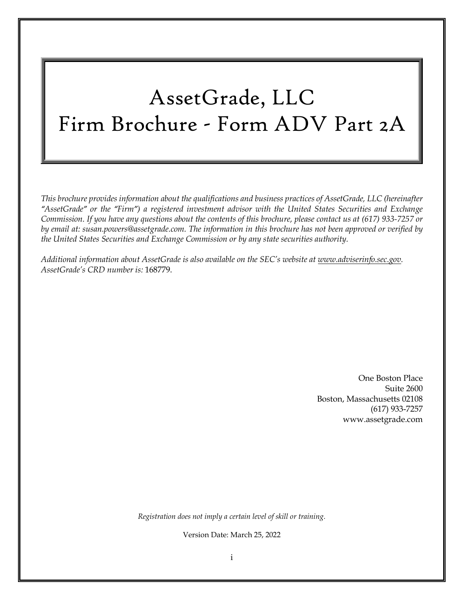# AssetGrade, LLC Firm Brochure - Form ADV Part 2A

*This brochure provides information about the qualifications and business practices of AssetGrade, LLC (hereinafter "AssetGrade" or the "Firm") a registered investment advisor with the United States Securities and Exchange Commission. If you have any questions about the contents of this brochure, please contact us at (617) 933-7257 or by email at: susan.powers@assetgrade.com. The information in this brochure has not been approved or verified by the United States Securities and Exchange Commission or by any state securities authority.*

*Additional information about AssetGrade is also available on the SEC's website at www.adviserinfo.sec.gov. AssetGrade's CRD number is:* 168779.

> One Boston Place Suite 2600 Boston, Massachusetts 02108 (617) 933-7257 www.assetgrade.com

*Registration does not imply a certain level of skill or training.*

Version Date: March 25, 2022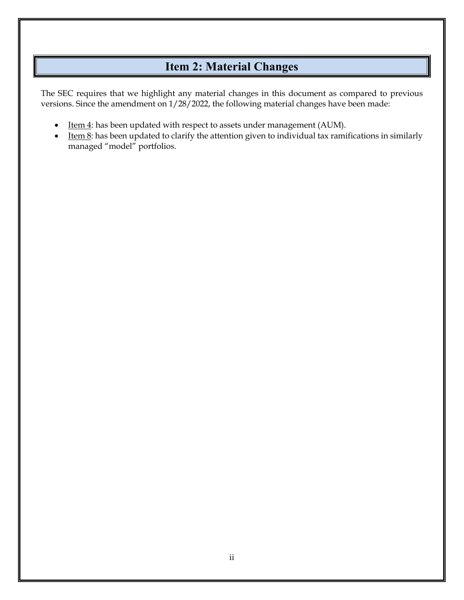# **Item 2: Material Changes**

<span id="page-1-0"></span>The SEC requires that we highlight any material changes in this document as compared to previous versions. Since the amendment on 1/28/2022, the following material changes have been made:

- Item 4: has been updated with respect to assets under management (AUM).
- Item 8: has been updated to clarify the attention given to individual tax ramifications in similarly managed "model" portfolios.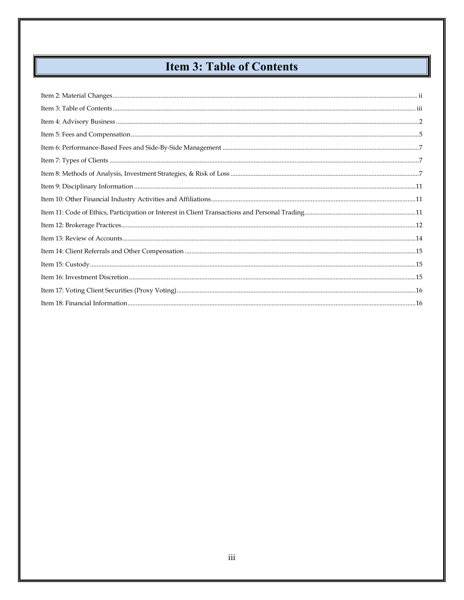# **Item 3: Table of Contents**

<span id="page-2-0"></span>║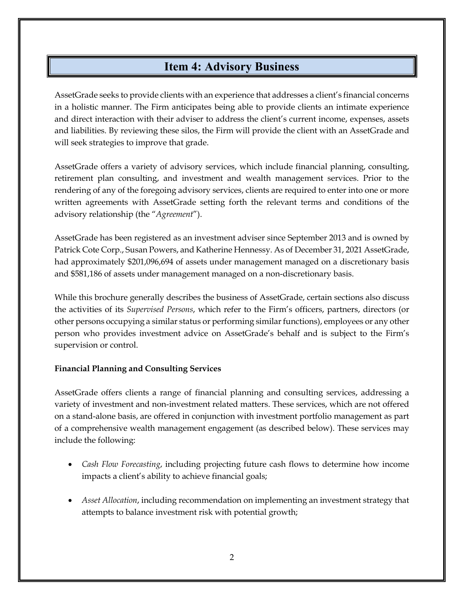# **Item 4: Advisory Business**

<span id="page-3-0"></span>AssetGrade seeks to provide clients with an experience that addresses a client's financial concerns in a holistic manner. The Firm anticipates being able to provide clients an intimate experience and direct interaction with their adviser to address the client's current income, expenses, assets and liabilities. By reviewing these silos, the Firm will provide the client with an AssetGrade and will seek strategies to improve that grade.

AssetGrade offers a variety of advisory services, which include financial planning, consulting, retirement plan consulting, and investment and wealth management services. Prior to the rendering of any of the foregoing advisory services, clients are required to enter into one or more written agreements with AssetGrade setting forth the relevant terms and conditions of the advisory relationship (the "*Agreement*").

AssetGrade has been registered as an investment adviser since September 2013 and is owned by Patrick Cote Corp., Susan Powers, and Katherine Hennessy. As of December 31, 2021 AssetGrade, had approximately \$201,096,694 of assets under management managed on a discretionary basis and \$581,186 of assets under management managed on a non-discretionary basis.

While this brochure generally describes the business of AssetGrade, certain sections also discuss the activities of its *Supervised Persons*, which refer to the Firm's officers, partners, directors (or other persons occupying a similar status or performing similar functions), employees or any other person who provides investment advice on AssetGrade's behalf and is subject to the Firm's supervision or control.

#### **Financial Planning and Consulting Services**

AssetGrade offers clients a range of financial planning and consulting services, addressing a variety of investment and non-investment related matters. These services, which are not offered on a stand-alone basis, are offered in conjunction with investment portfolio management as part of a comprehensive wealth management engagement (as described below). These services may include the following:

- *Cash Flow Forecasting*, including projecting future cash flows to determine how income impacts a client's ability to achieve financial goals;
- *Asset Allocation*, including recommendation on implementing an investment strategy that attempts to balance investment risk with potential growth;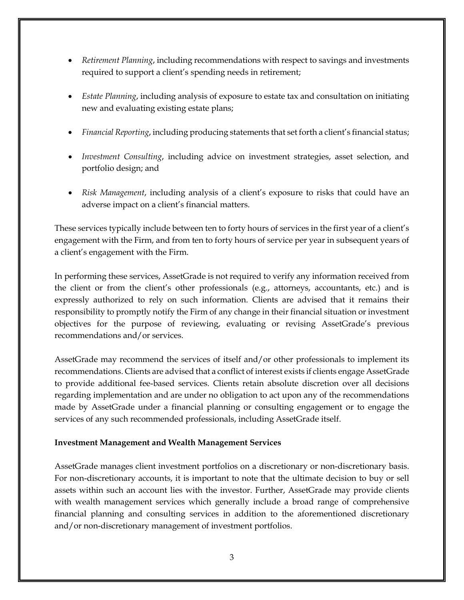- *Retirement Planning*, including recommendations with respect to savings and investments required to support a client's spending needs in retirement;
- *Estate Planning*, including analysis of exposure to estate tax and consultation on initiating new and evaluating existing estate plans;
- *Financial Reporting*, including producing statements that set forth a client's financial status;
- *Investment Consulting*, including advice on investment strategies, asset selection, and portfolio design; and
- *Risk Management*, including analysis of a client's exposure to risks that could have an adverse impact on a client's financial matters.

These services typically include between ten to forty hours of services in the first year of a client's engagement with the Firm, and from ten to forty hours of service per year in subsequent years of a client's engagement with the Firm.

In performing these services, AssetGrade is not required to verify any information received from the client or from the client's other professionals (e.g., attorneys, accountants, etc.) and is expressly authorized to rely on such information. Clients are advised that it remains their responsibility to promptly notify the Firm of any change in their financial situation or investment objectives for the purpose of reviewing, evaluating or revising AssetGrade's previous recommendations and/or services.

AssetGrade may recommend the services of itself and/or other professionals to implement its recommendations. Clients are advised that a conflict of interest exists if clients engage AssetGrade to provide additional fee-based services. Clients retain absolute discretion over all decisions regarding implementation and are under no obligation to act upon any of the recommendations made by AssetGrade under a financial planning or consulting engagement or to engage the services of any such recommended professionals, including AssetGrade itself.

#### **Investment Management and Wealth Management Services**

AssetGrade manages client investment portfolios on a discretionary or non-discretionary basis. For non-discretionary accounts, it is important to note that the ultimate decision to buy or sell assets within such an account lies with the investor. Further, AssetGrade may provide clients with wealth management services which generally include a broad range of comprehensive financial planning and consulting services in addition to the aforementioned discretionary and/or non-discretionary management of investment portfolios.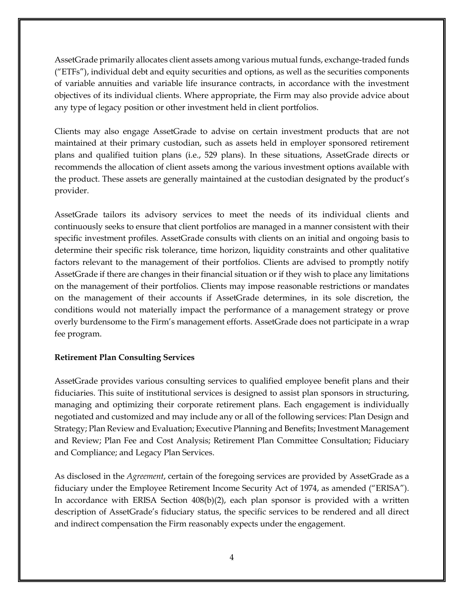AssetGrade primarily allocates client assets among various mutual funds, exchange-traded funds ("ETFs"), individual debt and equity securities and options, as well as the securities components of variable annuities and variable life insurance contracts, in accordance with the investment objectives of its individual clients. Where appropriate, the Firm may also provide advice about any type of legacy position or other investment held in client portfolios.

Clients may also engage AssetGrade to advise on certain investment products that are not maintained at their primary custodian, such as assets held in employer sponsored retirement plans and qualified tuition plans (i.e., 529 plans). In these situations, AssetGrade directs or recommends the allocation of client assets among the various investment options available with the product. These assets are generally maintained at the custodian designated by the product's provider.

AssetGrade tailors its advisory services to meet the needs of its individual clients and continuously seeks to ensure that client portfolios are managed in a manner consistent with their specific investment profiles. AssetGrade consults with clients on an initial and ongoing basis to determine their specific risk tolerance, time horizon, liquidity constraints and other qualitative factors relevant to the management of their portfolios. Clients are advised to promptly notify AssetGrade if there are changes in their financial situation or if they wish to place any limitations on the management of their portfolios. Clients may impose reasonable restrictions or mandates on the management of their accounts if AssetGrade determines, in its sole discretion, the conditions would not materially impact the performance of a management strategy or prove overly burdensome to the Firm's management efforts. AssetGrade does not participate in a wrap fee program.

#### **Retirement Plan Consulting Services**

AssetGrade provides various consulting services to qualified employee benefit plans and their fiduciaries. This suite of institutional services is designed to assist plan sponsors in structuring, managing and optimizing their corporate retirement plans. Each engagement is individually negotiated and customized and may include any or all of the following services: Plan Design and Strategy; Plan Review and Evaluation; Executive Planning and Benefits; Investment Management and Review; Plan Fee and Cost Analysis; Retirement Plan Committee Consultation; Fiduciary and Compliance; and Legacy Plan Services.

As disclosed in the *Agreement*, certain of the foregoing services are provided by AssetGrade as a fiduciary under the Employee Retirement Income Security Act of 1974, as amended ("ERISA"). In accordance with ERISA Section  $408(b)(2)$ , each plan sponsor is provided with a written description of AssetGrade's fiduciary status, the specific services to be rendered and all direct and indirect compensation the Firm reasonably expects under the engagement.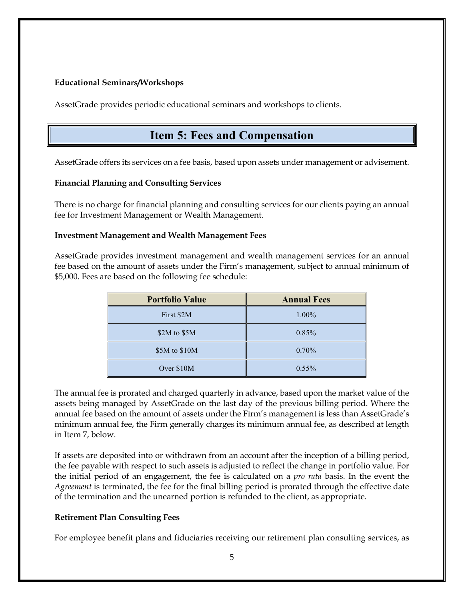#### **Educational Seminars/Workshops**

<span id="page-6-0"></span>AssetGrade provides periodic educational seminars and workshops to clients.

# **Item 5: Fees and Compensation**

AssetGrade offers its services on a fee basis, based upon assets under management or advisement.

#### **Financial Planning and Consulting Services**

There is no charge for financial planning and consulting services for our clients paying an annual fee for Investment Management or Wealth Management.

#### **Investment Management and Wealth Management Fees**

AssetGrade provides investment management and wealth management services for an annual fee based on the amount of assets under the Firm's management, subject to annual minimum of \$5,000. Fees are based on the following fee schedule:

| <b>Portfolio Value</b> | <b>Annual Fees</b> |
|------------------------|--------------------|
| First \$2M             | $1.00\%$           |
| \$2M to \$5M           | 0.85%              |
| \$5M to \$10M          | 0.70%              |
| Over \$10M             | $0.55\%$           |

The annual fee is prorated and charged quarterly in advance, based upon the market value of the assets being managed by AssetGrade on the last day of the previous billing period. Where the annual fee based on the amount of assets under the Firm's management is less than AssetGrade's minimum annual fee, the Firm generally charges its minimum annual fee, as described at length in Item 7, below.

If assets are deposited into or withdrawn from an account after the inception of a billing period, the fee payable with respect to such assets is adjusted to reflect the change in portfolio value. For the initial period of an engagement, the fee is calculated on a *pro rata* basis. In the event the *Agreement* is terminated, the fee for the final billing period is prorated through the effective date of the termination and the unearned portion is refunded to the client, as appropriate.

#### **Retirement Plan Consulting Fees**

For employee benefit plans and fiduciaries receiving our retirement plan consulting services, as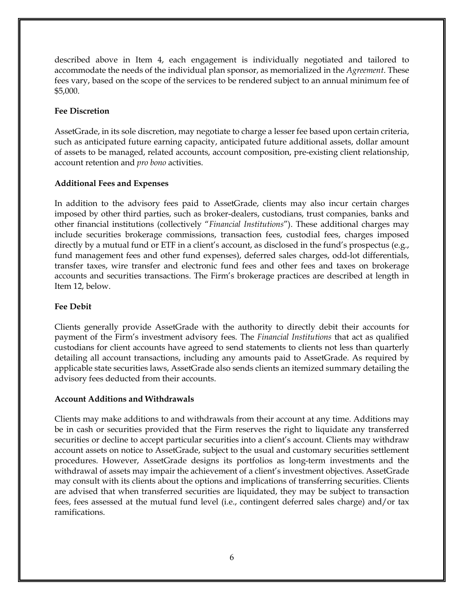described above in Item 4, each engagement is individually negotiated and tailored to accommodate the needs of the individual plan sponsor, as memorialized in the *Agreement*. These fees vary, based on the scope of the services to be rendered subject to an annual minimum fee of \$5,000.

#### **Fee Discretion**

AssetGrade, in its sole discretion, may negotiate to charge a lesser fee based upon certain criteria, such as anticipated future earning capacity, anticipated future additional assets, dollar amount of assets to be managed, related accounts, account composition, pre-existing client relationship, account retention and *pro bono* activities.

#### **Additional Fees and Expenses**

In addition to the advisory fees paid to AssetGrade, clients may also incur certain charges imposed by other third parties, such as broker-dealers, custodians, trust companies, banks and other financial institutions (collectively "*Financial Institutions*"). These additional charges may include securities brokerage commissions, transaction fees, custodial fees, charges imposed directly by a mutual fund or ETF in a client's account, as disclosed in the fund's prospectus (e.g., fund management fees and other fund expenses), deferred sales charges, odd-lot differentials, transfer taxes, wire transfer and electronic fund fees and other fees and taxes on brokerage accounts and securities transactions. The Firm's brokerage practices are described at length in Item 12, below.

#### **Fee Debit**

Clients generally provide AssetGrade with the authority to directly debit their accounts for payment of the Firm's investment advisory fees. The *Financial Institutions* that act as qualified custodians for client accounts have agreed to send statements to clients not less than quarterly detailing all account transactions, including any amounts paid to AssetGrade. As required by applicable state securities laws, AssetGrade also sends clients an itemized summary detailing the advisory fees deducted from their accounts.

#### **Account Additions and Withdrawals**

Clients may make additions to and withdrawals from their account at any time. Additions may be in cash or securities provided that the Firm reserves the right to liquidate any transferred securities or decline to accept particular securities into a client's account. Clients may withdraw account assets on notice to AssetGrade, subject to the usual and customary securities settlement procedures. However, AssetGrade designs its portfolios as long-term investments and the withdrawal of assets may impair the achievement of a client's investment objectives. AssetGrade may consult with its clients about the options and implications of transferring securities. Clients are advised that when transferred securities are liquidated, they may be subject to transaction fees, fees assessed at the mutual fund level (i.e., contingent deferred sales charge) and/or tax ramifications.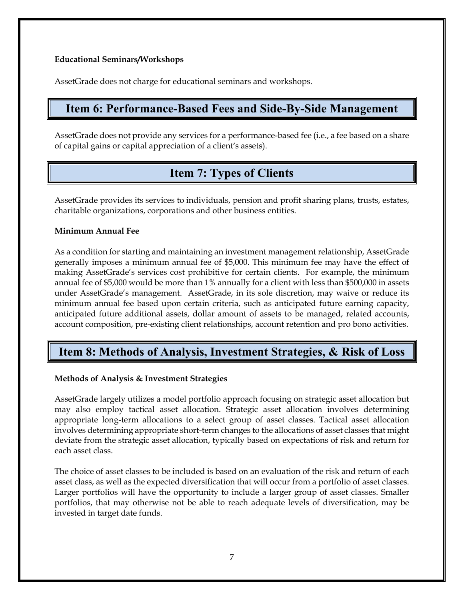#### **Educational Seminars/Workshops**

AssetGrade does not charge for educational seminars and workshops.

### <span id="page-8-0"></span>**Item 6: Performance-Based Fees and Side-By-Side Management**

<span id="page-8-1"></span>AssetGrade does not provide any services for a performance-based fee (i.e., a fee based on a share of capital gains or capital appreciation of a client's assets).

# **Item 7: Types of Clients**

AssetGrade provides its services to individuals, pension and profit sharing plans, trusts, estates, charitable organizations, corporations and other business entities.

#### **Minimum Annual Fee**

As a condition for starting and maintaining an investment management relationship, AssetGrade generally imposes a minimum annual fee of \$5,000. This minimum fee may have the effect of making AssetGrade's services cost prohibitive for certain clients. For example, the minimum annual fee of \$5,000 would be more than 1% annually for a client with less than \$500,000 in assets under AssetGrade's management. AssetGrade, in its sole discretion, may waive or reduce its minimum annual fee based upon certain criteria, such as anticipated future earning capacity, anticipated future additional assets, dollar amount of assets to be managed, related accounts, account composition, pre-existing client relationships, account retention and pro bono activities.

# <span id="page-8-2"></span>**Item 8: Methods of Analysis, Investment Strategies, & Risk of Loss**

#### **Methods of Analysis & Investment Strategies**

AssetGrade largely utilizes a model portfolio approach focusing on strategic asset allocation but may also employ tactical asset allocation. Strategic asset allocation involves determining appropriate long-term allocations to a select group of asset classes. Tactical asset allocation involves determining appropriate short-term changes to the allocations of asset classes that might deviate from the strategic asset allocation, typically based on expectations of risk and return for each asset class.

The choice of asset classes to be included is based on an evaluation of the risk and return of each asset class, as well as the expected diversification that will occur from a portfolio of asset classes. Larger portfolios will have the opportunity to include a larger group of asset classes. Smaller portfolios, that may otherwise not be able to reach adequate levels of diversification, may be invested in target date funds.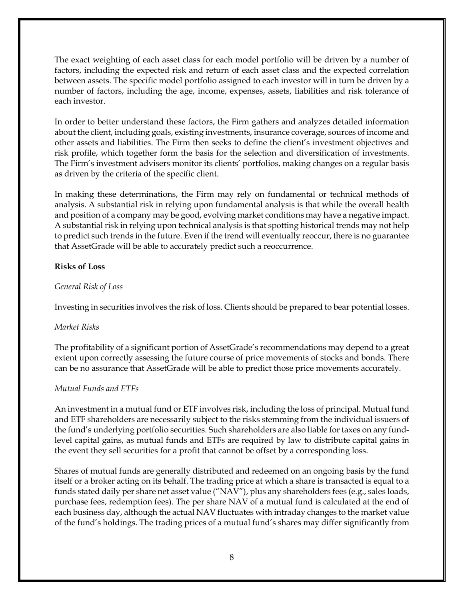The exact weighting of each asset class for each model portfolio will be driven by a number of factors, including the expected risk and return of each asset class and the expected correlation between assets. The specific model portfolio assigned to each investor will in turn be driven by a number of factors, including the age, income, expenses, assets, liabilities and risk tolerance of each investor.

In order to better understand these factors, the Firm gathers and analyzes detailed information about the client, including goals, existing investments, insurance coverage, sources of income and other assets and liabilities. The Firm then seeks to define the client's investment objectives and risk profile, which together form the basis for the selection and diversification of investments. The Firm's investment advisers monitor its clients' portfolios, making changes on a regular basis as driven by the criteria of the specific client.

In making these determinations, the Firm may rely on fundamental or technical methods of analysis. A substantial risk in relying upon fundamental analysis is that while the overall health and position of a company may be good, evolving market conditions may have a negative impact. A substantial risk in relying upon technical analysis is that spotting historical trends may not help to predict such trends in the future. Even if the trend will eventually reoccur, there is no guarantee that AssetGrade will be able to accurately predict such a reoccurrence.

#### **Risks of Loss**

#### *General Risk of Loss*

Investing in securities involves the risk of loss. Clients should be prepared to bear potential losses.

#### *Market Risks*

The profitability of a significant portion of AssetGrade's recommendations may depend to a great extent upon correctly assessing the future course of price movements of stocks and bonds. There can be no assurance that AssetGrade will be able to predict those price movements accurately.

#### *Mutual Funds and ETFs*

An investment in a mutual fund or ETF involves risk, including the loss of principal. Mutual fund and ETF shareholders are necessarily subject to the risks stemming from the individual issuers of the fund's underlying portfolio securities. Such shareholders are also liable for taxes on any fundlevel capital gains, as mutual funds and ETFs are required by law to distribute capital gains in the event they sell securities for a profit that cannot be offset by a corresponding loss.

Shares of mutual funds are generally distributed and redeemed on an ongoing basis by the fund itself or a broker acting on its behalf. The trading price at which a share is transacted is equal to a funds stated daily per share net asset value ("NAV"), plus any shareholders fees (e.g., sales loads, purchase fees, redemption fees). The per share NAV of a mutual fund is calculated at the end of each business day, although the actual NAV fluctuates with intraday changes to the market value of the fund's holdings. The trading prices of a mutual fund's shares may differ significantly from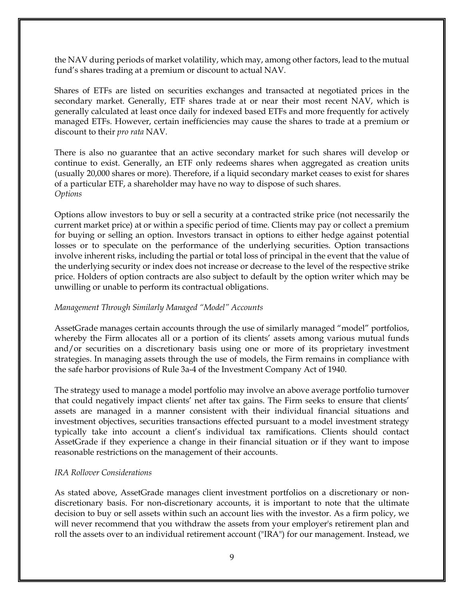the NAV during periods of market volatility, which may, among other factors, lead to the mutual fund's shares trading at a premium or discount to actual NAV.

Shares of ETFs are listed on securities exchanges and transacted at negotiated prices in the secondary market. Generally, ETF shares trade at or near their most recent NAV, which is generally calculated at least once daily for indexed based ETFs and more frequently for actively managed ETFs. However, certain inefficiencies may cause the shares to trade at a premium or discount to their *pro rata* NAV.

There is also no guarantee that an active secondary market for such shares will develop or continue to exist. Generally, an ETF only redeems shares when aggregated as creation units (usually 20,000 shares or more). Therefore, if a liquid secondary market ceases to exist for shares of a particular ETF, a shareholder may have no way to dispose of such shares. *Options*

Options allow investors to buy or sell a security at a contracted strike price (not necessarily the current market price) at or within a specific period of time. Clients may pay or collect a premium for buying or selling an option. Investors transact in options to either hedge against potential losses or to speculate on the performance of the underlying securities. Option transactions involve inherent risks, including the partial or total loss of principal in the event that the value of the underlying security or index does not increase or decrease to the level of the respective strike price. Holders of option contracts are also subject to default by the option writer which may be unwilling or unable to perform its contractual obligations.

#### *Management Through Similarly Managed "Model" Accounts*

AssetGrade manages certain accounts through the use of similarly managed "model" portfolios, whereby the Firm allocates all or a portion of its clients' assets among various mutual funds and/or securities on a discretionary basis using one or more of its proprietary investment strategies. In managing assets through the use of models, the Firm remains in compliance with the safe harbor provisions of Rule 3a-4 of the Investment Company Act of 1940.

The strategy used to manage a model portfolio may involve an above average portfolio turnover that could negatively impact clients' net after tax gains. The Firm seeks to ensure that clients' assets are managed in a manner consistent with their individual financial situations and investment objectives, securities transactions effected pursuant to a model investment strategy typically take into account a client's individual tax ramifications. Clients should contact AssetGrade if they experience a change in their financial situation or if they want to impose reasonable restrictions on the management of their accounts.

#### *IRA Rollover Considerations*

As stated above, AssetGrade manages client investment portfolios on a discretionary or nondiscretionary basis. For non-discretionary accounts, it is important to note that the ultimate decision to buy or sell assets within such an account lies with the investor. As a firm policy, we will never recommend that you withdraw the assets from your employer's retirement plan and roll the assets over to an individual retirement account ("IRA") for our management. Instead, we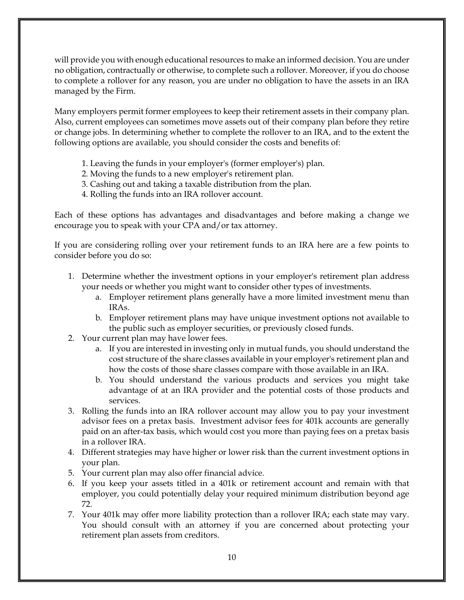will provide you with enough educational resources to make an informed decision. You are under no obligation, contractually or otherwise, to complete such a rollover. Moreover, if you do choose to complete a rollover for any reason, you are under no obligation to have the assets in an IRA managed by the Firm.

Many employers permit former employees to keep their retirement assets in their company plan. Also, current employees can sometimes move assets out of their company plan before they retire or change jobs. In determining whether to complete the rollover to an IRA, and to the extent the following options are available, you should consider the costs and benefits of:

- 1. Leaving the funds in your employer's (former employer's) plan.
- 2. Moving the funds to a new employer's retirement plan.
- 3. Cashing out and taking a taxable distribution from the plan.
- 4. Rolling the funds into an IRA rollover account.

Each of these options has advantages and disadvantages and before making a change we encourage you to speak with your CPA and/or tax attorney.

If you are considering rolling over your retirement funds to an IRA here are a few points to consider before you do so:

- 1. Determine whether the investment options in your employer's retirement plan address your needs or whether you might want to consider other types of investments.
	- a. Employer retirement plans generally have a more limited investment menu than IRAs.
	- b. Employer retirement plans may have unique investment options not available to the public such as employer securities, or previously closed funds.
- 2. Your current plan may have lower fees.
	- a. If you are interested in investing only in mutual funds, you should understand the cost structure of the share classes available in your employer's retirement plan and how the costs of those share classes compare with those available in an IRA.
	- b. You should understand the various products and services you might take advantage of at an IRA provider and the potential costs of those products and services.
- 3. Rolling the funds into an IRA rollover account may allow you to pay your investment advisor fees on a pretax basis. Investment advisor fees for 401k accounts are generally paid on an after-tax basis, which would cost you more than paying fees on a pretax basis in a rollover IRA.
- 4. Different strategies may have higher or lower risk than the current investment options in your plan.
- 5. Your current plan may also offer financial advice.
- 6. If you keep your assets titled in a 401k or retirement account and remain with that employer, you could potentially delay your required minimum distribution beyond age 72.
- 7. Your 401k may offer more liability protection than a rollover IRA; each state may vary. You should consult with an attorney if you are concerned about protecting your retirement plan assets from creditors.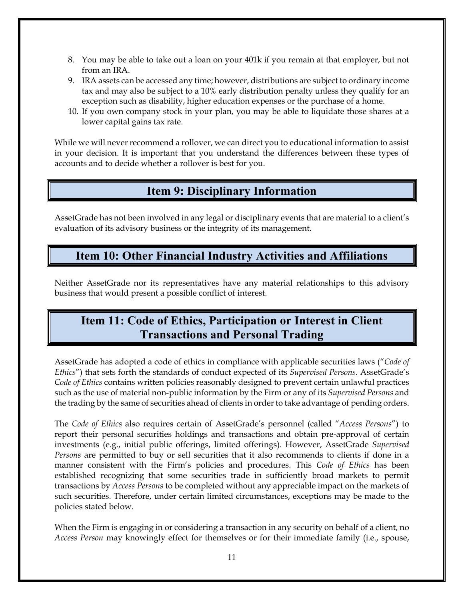- 8. You may be able to take out a loan on your 401k if you remain at that employer, but not from an IRA.
- 9. IRA assets can be accessed any time; however, distributions are subject to ordinary income tax and may also be subject to a 10% early distribution penalty unless they qualify for an exception such as disability, higher education expenses or the purchase of a home.
- 10. If you own company stock in your plan, you may be able to liquidate those shares at a lower capital gains tax rate.

While we will never recommend a rollover, we can direct you to educational information to assist in your decision. It is important that you understand the differences between these types of accounts and to decide whether a rollover is best for you.

# **Item 9: Disciplinary Information**

<span id="page-12-0"></span>AssetGrade has not been involved in any legal or disciplinary events that are material to a client's evaluation of its advisory business or the integrity of its management.

# <span id="page-12-1"></span>**Item 10: Other Financial Industry Activities and Affiliations**

Neither AssetGrade nor its representatives have any material relationships to this advisory business that would present a possible conflict of interest.

# <span id="page-12-2"></span>**Item 11: Code of Ethics, Participation or Interest in Client Transactions and Personal Trading**

AssetGrade has adopted a code of ethics in compliance with applicable securities laws ("*Code of Ethics*") that sets forth the standards of conduct expected of its *Supervised Persons*. AssetGrade's *Code of Ethics* contains written policies reasonably designed to prevent certain unlawful practices such as the use of material non-public information by the Firm or any of its *Supervised Persons* and the trading by the same of securities ahead of clients in order to take advantage of pending orders.

The *Code of Ethics* also requires certain of AssetGrade's personnel (called "*Access Persons*") to report their personal securities holdings and transactions and obtain pre-approval of certain investments (e.g., initial public offerings, limited offerings). However, AssetGrade *Supervised Persons* are permitted to buy or sell securities that it also recommends to clients if done in a manner consistent with the Firm's policies and procedures. This *Code of Ethics* has been established recognizing that some securities trade in sufficiently broad markets to permit transactions by *Access Persons* to be completed without any appreciable impact on the markets of such securities. Therefore, under certain limited circumstances, exceptions may be made to the policies stated below.

When the Firm is engaging in or considering a transaction in any security on behalf of a client, no *Access Person* may knowingly effect for themselves or for their immediate family (i.e., spouse,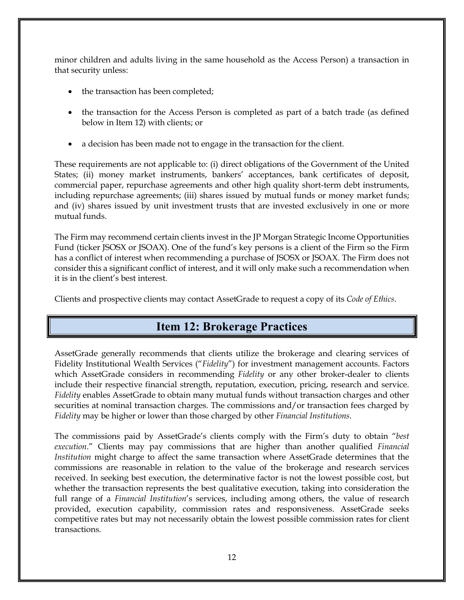minor children and adults living in the same household as the Access Person) a transaction in that security unless:

- the transaction has been completed;
- the transaction for the Access Person is completed as part of a batch trade (as defined below in Item 12) with clients; or
- a decision has been made not to engage in the transaction for the client.

These requirements are not applicable to: (i) direct obligations of the Government of the United States; (ii) money market instruments, bankers' acceptances, bank certificates of deposit, commercial paper, repurchase agreements and other high quality short-term debt instruments, including repurchase agreements; (iii) shares issued by mutual funds or money market funds; and (iv) shares issued by unit investment trusts that are invested exclusively in one or more mutual funds.

The Firm may recommend certain clients invest in the JP Morgan Strategic Income Opportunities Fund (ticker JSOSX or JSOAX). One of the fund's key persons is a client of the Firm so the Firm has a conflict of interest when recommending a purchase of JSOSX or JSOAX. The Firm does not consider this a significant conflict of interest, and it will only make such a recommendation when it is in the client's best interest.

<span id="page-13-0"></span>Clients and prospective clients may contact AssetGrade to request a copy of its *Code of Ethics*.

# **Item 12: Brokerage Practices**

AssetGrade generally recommends that clients utilize the brokerage and clearing services of Fidelity Institutional Wealth Services ("*Fidelity*") for investment management accounts. Factors which AssetGrade considers in recommending *Fidelity* or any other broker-dealer to clients include their respective financial strength, reputation, execution, pricing, research and service. *Fidelity* enables AssetGrade to obtain many mutual funds without transaction charges and other securities at nominal transaction charges. The commissions and/or transaction fees charged by *Fidelity* may be higher or lower than those charged by other *Financial Institutions*.

The commissions paid by AssetGrade's clients comply with the Firm's duty to obtain "*best execution*." Clients may pay commissions that are higher than another qualified *Financial Institution* might charge to affect the same transaction where AssetGrade determines that the commissions are reasonable in relation to the value of the brokerage and research services received. In seeking best execution, the determinative factor is not the lowest possible cost, but whether the transaction represents the best qualitative execution, taking into consideration the full range of a *Financial Institution*'s services, including among others, the value of research provided, execution capability, commission rates and responsiveness. AssetGrade seeks competitive rates but may not necessarily obtain the lowest possible commission rates for client transactions.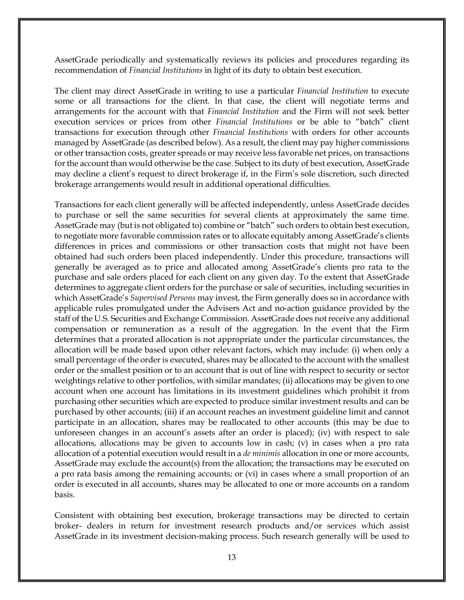AssetGrade periodically and systematically reviews its policies and procedures regarding its recommendation of *Financial Institutions* in light of its duty to obtain best execution.

The client may direct AssetGrade in writing to use a particular *Financial Institution* to execute some or all transactions for the client. In that case, the client will negotiate terms and arrangements for the account with that *Financial Institution* and the Firm will not seek better execution services or prices from other *Financial Institutions* or be able to "batch" client transactions for execution through other *Financial Institutions* with orders for other accounts managed by AssetGrade (as described below). As a result, the client may pay higher commissions or other transaction costs, greater spreads or may receive less favorable net prices, on transactions for the account than would otherwise be the case. Subject to its duty of best execution, AssetGrade may decline a client's request to direct brokerage if, in the Firm's sole discretion, such directed brokerage arrangements would result in additional operational difficulties.

Transactions for each client generally will be affected independently, unless AssetGrade decides to purchase or sell the same securities for several clients at approximately the same time. AssetGrade may (but is not obligated to) combine or "batch" such orders to obtain best execution, to negotiate more favorable commission rates or to allocate equitably among AssetGrade's clients differences in prices and commissions or other transaction costs that might not have been obtained had such orders been placed independently. Under this procedure, transactions will generally be averaged as to price and allocated among AssetGrade's clients pro rata to the purchase and sale orders placed for each client on any given day. To the extent that AssetGrade determines to aggregate client orders for the purchase or sale of securities, including securities in which AssetGrade's *Supervised Persons* may invest, the Firm generally does so in accordance with applicable rules promulgated under the Advisers Act and no-action guidance provided by the staff of the U.S. Securities and Exchange Commission. AssetGrade does notreceive any additional compensation or remuneration as a result of the aggregation. In the event that the Firm determines that a prorated allocation is not appropriate under the particular circumstances, the allocation will be made based upon other relevant factors, which may include: (i) when only a small percentage of the order is executed, shares may be allocated to the account with the smallest order or the smallest position or to an account that is out of line with respect to security or sector weightings relative to other portfolios, with similar mandates; (ii) allocations may be given to one account when one account has limitations in its investment guidelines which prohibit it from purchasing other securities which are expected to produce similar investment results and can be purchased by other accounts; (iii) if an account reaches an investment guideline limit and cannot participate in an allocation, shares may be reallocated to other accounts (this may be due to unforeseen changes in an account's assets after an order is placed); (iv) with respect to sale allocations, allocations may be given to accounts low in cash; (v) in cases when a pro rata allocation of a potential execution would result in a *de minimis* allocation in one or more accounts, AssetGrade may exclude the account(s) from the allocation; the transactions may be executed on a pro rata basis among the remaining accounts; or (vi) in cases where a small proportion of an order is executed in all accounts, shares may be allocated to one or more accounts on a random basis.

Consistent with obtaining best execution, brokerage transactions may be directed to certain broker- dealers in return for investment research products and/or services which assist AssetGrade in its investment decision-making process. Such research generally will be used to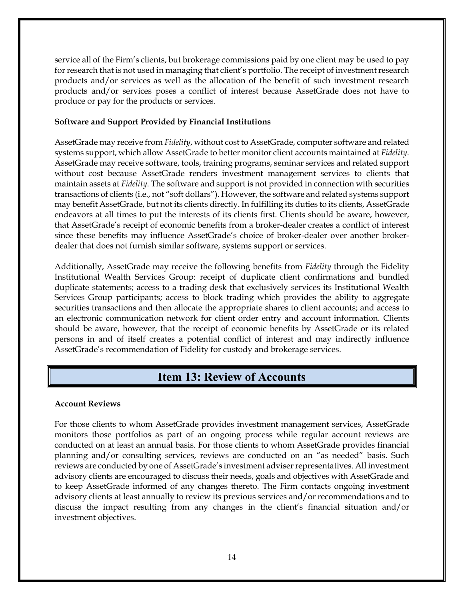service all of the Firm's clients, but brokerage commissions paid by one client may be used to pay for research that is not used in managing that client's portfolio. The receipt of investment research products and/or services as well as the allocation of the benefit of such investment research products and/or services poses a conflict of interest because AssetGrade does not have to produce or pay for the products or services.

#### **Software and Support Provided by Financial Institutions**

AssetGrade may receive from *Fidelity*, without cost to AssetGrade, computer software and related systems support, which allow AssetGrade to better monitor client accounts maintained at *Fidelity*. AssetGrade may receive software, tools, training programs, seminar services and related support without cost because AssetGrade renders investment management services to clients that maintain assets at *Fidelity*. The software and support is not provided in connection with securities transactions of clients (i.e., not "soft dollars"). However, the software and related systems support may benefit AssetGrade, but not its clients directly. In fulfilling its duties to its clients, AssetGrade endeavors at all times to put the interests of its clients first. Clients should be aware, however, that AssetGrade's receipt of economic benefits from a broker-dealer creates a conflict of interest since these benefits may influence AssetGrade's choice of broker-dealer over another brokerdealer that does not furnish similar software, systems support or services.

Additionally, AssetGrade may receive the following benefits from *Fidelity* through the Fidelity Institutional Wealth Services Group: receipt of duplicate client confirmations and bundled duplicate statements; access to a trading desk that exclusively services its Institutional Wealth Services Group participants; access to block trading which provides the ability to aggregate securities transactions and then allocate the appropriate shares to client accounts; and access to an electronic communication network for client order entry and account information. Clients should be aware, however, that the receipt of economic benefits by AssetGrade or its related persons in and of itself creates a potential conflict of interest and may indirectly influence AssetGrade's recommendation of Fidelity for custody and brokerage services.

# **Item 13: Review of Accounts**

#### <span id="page-15-0"></span>**Account Reviews**

For those clients to whom AssetGrade provides investment management services, AssetGrade monitors those portfolios as part of an ongoing process while regular account reviews are conducted on at least an annual basis. For those clients to whom AssetGrade provides financial planning and/or consulting services, reviews are conducted on an "as needed" basis. Such reviews are conducted by one of AssetGrade's investment adviser representatives. All investment advisory clients are encouraged to discuss their needs, goals and objectives with AssetGrade and to keep AssetGrade informed of any changes thereto. The Firm contacts ongoing investment advisory clients at least annually to review its previous services and/or recommendations and to discuss the impact resulting from any changes in the client's financial situation and/or investment objectives.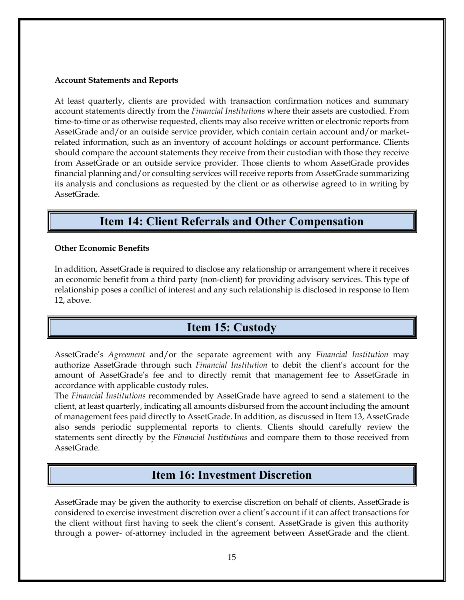#### **Account Statements and Reports**

At least quarterly, clients are provided with transaction confirmation notices and summary account statements directly from the *Financial Institutions* where their assets are custodied. From time-to-time or as otherwise requested, clients may also receive written or electronic reports from AssetGrade and/or an outside service provider, which contain certain account and/or marketrelated information, such as an inventory of account holdings or account performance. Clients should compare the account statements they receive from their custodian with those they receive from AssetGrade or an outside service provider. Those clients to whom AssetGrade provides financial planning and/or consulting services will receive reports from AssetGrade summarizing its analysis and conclusions as requested by the client or as otherwise agreed to in writing by AssetGrade.

### **Item 14: Client Referrals and Other Compensation**

#### <span id="page-16-0"></span>**Other Economic Benefits**

In addition, AssetGrade is required to disclose any relationship or arrangement where it receives an economic benefit from a third party (non-client) for providing advisory services. This type of relationship poses a conflict of interest and any such relationship is disclosed in response to Item 12, above.

# **Item 15: Custody**

<span id="page-16-1"></span>AssetGrade's *Agreement* and/or the separate agreement with any *Financial Institution* may authorize AssetGrade through such *Financial Institution* to debit the client's account for the amount of AssetGrade's fee and to directly remit that management fee to AssetGrade in accordance with applicable custody rules.

The *Financial Institutions* recommended by AssetGrade have agreed to send a statement to the client, at least quarterly, indicating all amounts disbursed from the account including the amount of management fees paid directly to AssetGrade. In addition, as discussed in Item 13, AssetGrade also sends periodic supplemental reports to clients. Clients should carefully review the statements sent directly by the *Financial Institutions* and compare them to those received from AssetGrade.

### **Item 16: Investment Discretion**

<span id="page-16-2"></span>AssetGrade may be given the authority to exercise discretion on behalf of clients. AssetGrade is considered to exercise investment discretion over a client's account if it can affect transactions for the client without first having to seek the client's consent. AssetGrade is given this authority through a power- of-attorney included in the agreement between AssetGrade and the client.